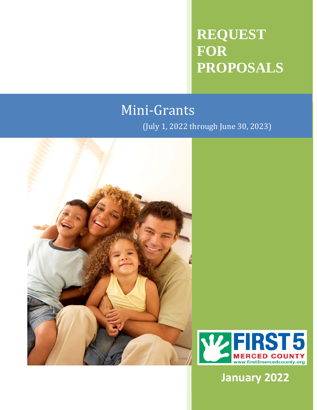# **REQUEST FOR PROPOSALS**

# Mini‐Grants

(July 1, 2022 through June 30, 2023)





**January 2022**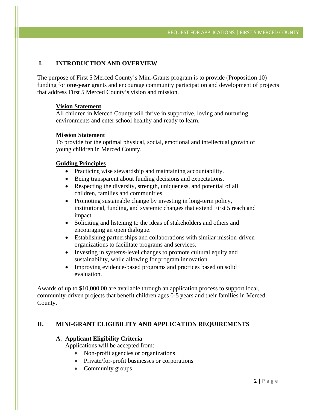#### **I. INTRODUCTION AND OVERVIEW**

The purpose of First 5 Merced County's Mini-Grants program is to provide (Proposition 10) funding for **one-year** grants and encourage community participation and development of projects that address First 5 Merced County's vision and mission.

#### **Vision Statement**

All children in Merced County will thrive in supportive, loving and nurturing environments and enter school healthy and ready to learn.

#### **Mission Statement**

To provide for the optimal physical, social, emotional and intellectual growth of young children in Merced County.

#### **Guiding Principles**

- Practicing wise stewardship and maintaining accountability.
- Being transparent about funding decisions and expectations.
- Respecting the diversity, strength, uniqueness, and potential of all children, families and communities.
- Promoting sustainable change by investing in long-term policy, institutional, funding, and systemic changes that extend First 5 reach and impact.
- Soliciting and listening to the ideas of stakeholders and others and encouraging an open dialogue.
- Establishing partnerships and collaborations with similar mission-driven organizations to facilitate programs and services.
- Investing in systems-level changes to promote cultural equity and sustainability, while allowing for program innovation.
- Improving evidence-based programs and practices based on solid evaluation.

Awards of up to \$10,000.00 are available through an application process to support local, community-driven projects that benefit children ages 0-5 years and their families in Merced County.

#### **II. MINI-GRANT ELIGIBILITY AND APPLICATION REQUIREMENTS**

#### **A. Applicant Eligibility Criteria**

Applications will be accepted from:

- Non-profit agencies or organizations
- Private/for-profit businesses or corporations
- Community groups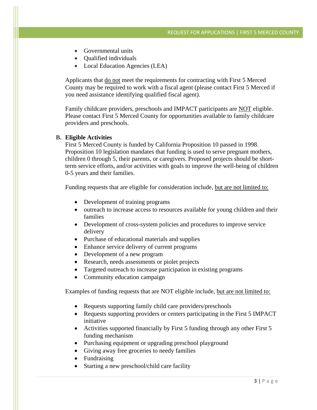- Governmental units
- Oualified individuals
- Local Education Agencies (LEA)

Applicants that do not meet the requirements for contracting with First 5 Merced County may be required to work with a fiscal agent (please contact First 5 Merced if you need assistance identifying qualified fiscal agent).

Family childcare providers, preschools and IMPACT participants are NOT eligible. Please contact First 5 Merced County for opportunities available to family childcare providers and preschools.

#### **B. Eligible Activities**

First 5 Merced County is funded by California Proposition 10 passed in 1998. Proposition 10 legislation mandates that funding is used to serve pregnant mothers, children 0 through 5, their parents, or caregivers. Proposed projects should be shortterm service efforts, and/or activities with goals to improve the well-being of children 0-5 years and their families.

Funding requests that are eligible for consideration include, but are not limited to:

- Development of training programs
- outreach to increase access to resources available for young children and their families
- Development of cross-system policies and procedures to improve service delivery
- Purchase of educational materials and supplies
- Enhance service delivery of current programs
- Development of a new program
- Research, needs assessments or piolet projects
- Targeted outreach to increase participation in existing programs
- Community education campaign

Examples of funding requests that are NOT eligible include, but are not limited to:

- Requests supporting family child care providers/preschools
- Requests supporting providers or centers participating in the First 5 IMPACT initiative
- Activities supported financially by First 5 funding through any other First 5 funding mechanism
- Purchasing equipment or upgrading preschool playground
- Giving away free groceries to needy families
- Fundraising
- Starting a new preschool/child care facility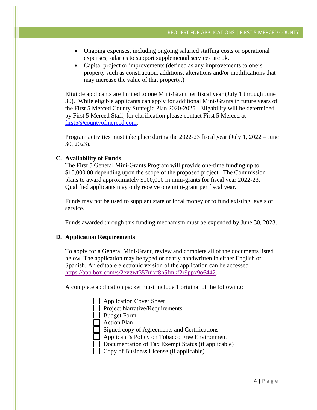- Ongoing expenses, including ongoing salaried staffing costs or operational expenses, salaries to support supplemental services are ok.
- Capital project or improvements (defined as any improvements to one's property such as construction, additions, alterations and/or modifications that may increase the value of that property.)

Eligible applicants are limited to one Mini-Grant per fiscal year (July 1 through June 30). While eligible applicants can apply for additional Mini-Grants in future years of the First 5 Merced County Strategic Plan 2020-2025. Eligability will be determined by First 5 Merced Staff, for clarification please contact First 5 Merced at first5@countyofmerced.com.

Program activities must take place during the 2022-23 fiscal year (July 1, 2022 – June 30, 2023).

#### **C. Availability of Funds**

The First 5 General Mini-Grants Program will provide one-time funding up to \$10,000.00 depending upon the scope of the proposed project. The Commission plans to award approximately \$100,000 in mini-grants for fiscal year 2022-23. Qualified applicants may only receive one mini-grant per fiscal year.

Funds may not be used to supplant state or local money or to fund existing levels of service.

Funds awarded through this funding mechanism must be expended by June 30, 2023.

#### **D. Application Requirements**

To apply for a General Mini-Grant, review and complete all of the documents listed below. The application may be typed or neatly handwritten in either English or Spanish. An editable electronic version of the application can be accessed https://app.box.com/s/2eygwt357ujxf8h5fmkf2r9ppx9o6442.

A complete application packet must include 1 original of the following:

| <b>Application Cover Sheet</b>                     |
|----------------------------------------------------|
| <b>Project Narrative/Requirements</b>              |
| <b>Budget Form</b>                                 |
| <b>Action Plan</b>                                 |
| Signed copy of Agreements and Certifications       |
| Applicant's Policy on Tobacco Free Environment     |
| Documentation of Tax Exempt Status (if applicable) |
| Copy of Business License (if applicable)           |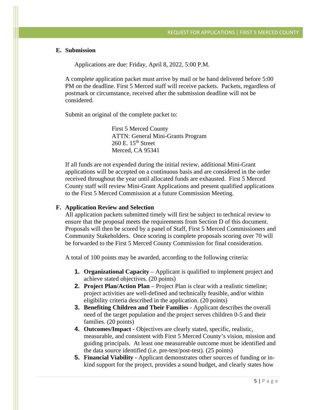#### **E. Submission**

Applications are due: Friday, April 8, 2022, 5:00 P.M.

A complete application packet must arrive by mail or be hand delivered before 5:00 PM on the deadline. First 5 Merced staff will receive packets. Packets, regardless of postmark or circumstance, received after the submission deadline will not be considered.

Submit an original of the complete packet to:

First 5 Merced County ATTN: General Mini-Grants Program  $260$  E.  $15<sup>th</sup>$  Street Merced, CA 95341

If all funds are not expended during the initial review, additional Mini-Grant applications will be accepted on a continuous basis and are considered in the order received throughout the year until allocated funds are exhausted. First 5 Merced County staff will review Mini-Grant Applications and present qualified applications to the First 5 Merced Commission at a future Commission Meeting.

#### **F. Application Review and Selection**

All application packets submitted timely will first be subject to technical review to ensure that the proposal meets the requirements from Section D of this document. Proposals will then be scored by a panel of Staff, First 5 Merced Commissioners and Community Stakeholders. Once scoring is complete proposals scoring over 70 will be forwarded to the First 5 Merced County Commission for final consideration.

A total of 100 points may be awarded, according to the following criteria:

- **1. Organizational Capacity Applicant is qualified to implement project and** achieve stated objectives. (20 points)
- **2. Project Plan/Action Plan** Project Plan is clear with a realistic timeline; project activities are well-defined and technically feasible, and/or within eligibility criteria described in the application. (20 points)
- **3. Benefiting Children and Their Families** Applicant describes the overall need of the target population and the project serves children 0-5 and their families. (20 points)
- **4. Outcomes/Impact** Objectives are clearly stated, specific, realistic, measurable, and consistent with First 5 Merced County's vision, mission and guiding principals. At least one measureable outcome must be identified and the data source identified (i.e. pre-test/post-test). (25 points)
- **5. Financial Viability**  Applicant demonstrates other sources of funding or inkind support for the project, provides a sound budget, and clearly states how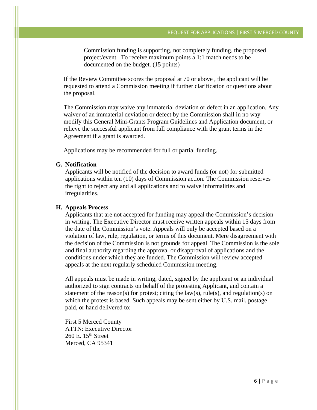Commission funding is supporting, not completely funding, the proposed project/event. To receive maximum points a 1:1 match needs to be documented on the budget. (15 points)

If the Review Committee scores the proposal at 70 or above , the applicant will be requested to attend a Commission meeting if further clarification or questions about the proposal.

The Commission may waive any immaterial deviation or defect in an application. Any waiver of an immaterial deviation or defect by the Commission shall in no way modify this General Mini-Grants Program Guidelines and Application document, or relieve the successful applicant from full compliance with the grant terms in the Agreement if a grant is awarded.

Applications may be recommended for full or partial funding.

#### **G. Notification**

Applicants will be notified of the decision to award funds (or not) for submitted applications within ten (10) days of Commission action. The Commission reserves the right to reject any and all applications and to waive informalities and irregularities.

#### **H. Appeals Process**

Applicants that are not accepted for funding may appeal the Commission's decision in writing. The Executive Director must receive written appeals within 15 days from the date of the Commission's vote. Appeals will only be accepted based on a violation of law, rule, regulation, or terms of this document. Mere disagreement with the decision of the Commission is not grounds for appeal. The Commission is the sole and final authority regarding the approval or disapproval of applications and the conditions under which they are funded. The Commission will review accepted appeals at the next regularly scheduled Commission meeting.

All appeals must be made in writing, dated, signed by the applicant or an individual authorized to sign contracts on behalf of the protesting Applicant, and contain a statement of the reason(s) for protest; citing the law(s), rule(s), and regulation(s) on which the protest is based. Such appeals may be sent either by U.S. mail, postage paid, or hand delivered to:

First 5 Merced County ATTN: Executive Director  $260$  E.  $15<sup>th</sup>$  Street Merced, CA 95341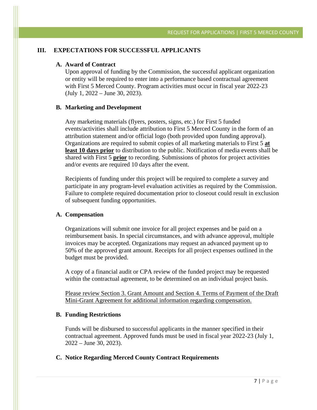#### **III. EXPECTATIONS FOR SUCCESSFUL APPLICANTS**

#### **A. Award of Contract**

Upon approval of funding by the Commission, the successful applicant organization or entity will be required to enter into a performance based contractual agreement with First 5 Merced County. Program activities must occur in fiscal year 2022-23 (July 1, 2022 – June 30, 2023).

#### **B. Marketing and Development**

Any marketing materials (flyers, posters, signs, etc.) for First 5 funded events/activities shall include attribution to First 5 Merced County in the form of an attribution statement and/or official logo (both provided upon funding approval). Organizations are required to submit copies of all marketing materials to First 5 **at least 10 days prior** to distribution to the public. Notification of media events shall be shared with First 5 **prior** to recording. Submissions of photos for project activities and/or events are required 10 days after the event.

Recipients of funding under this project will be required to complete a survey and participate in any program-level evaluation activities as required by the Commission. Failure to complete required documentation prior to closeout could result in exclusion of subsequent funding opportunities.

#### **A. Compensation**

Organizations will submit one invoice for all project expenses and be paid on a reimbursement basis. In special circumstances, and with advance approval, multiple invoices may be accepted. Organizations may request an advanced payment up to 50% of the approved grant amount. Receipts for all project expenses outlined in the budget must be provided.

A copy of a financial audit or CPA review of the funded project may be requested within the contractual agreement, to be determined on an individual project basis.

Please review Section 3. Grant Amount and Section 4. Terms of Payment of the Draft Mini-Grant Agreement for additional information regarding compensation.

#### **B. Funding Restrictions**

Funds will be disbursed to successful applicants in the manner specified in their contractual agreement. Approved funds must be used in fiscal year 2022-23 (July 1, 2022 – June 30, 2023).

#### **C. Notice Regarding Merced County Contract Requirements**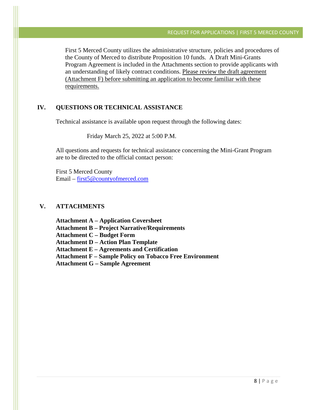First 5 Merced County utilizes the administrative structure, policies and procedures of the County of Merced to distribute Proposition 10 funds. A Draft Mini-Grants Program Agreement is included in the Attachments section to provide applicants with an understanding of likely contract conditions. Please review the draft agreement (Attachment F) before submitting an application to become familiar with these requirements.

#### **IV. QUESTIONS OR TECHNICAL ASSISTANCE**

Technical assistance is available upon request through the following dates:

Friday March 25, 2022 at 5:00 P.M.

All questions and requests for technical assistance concerning the Mini-Grant Program are to be directed to the official contact person:

First 5 Merced County Email – first5@countyofmerced.com

#### **V. ATTACHMENTS**

 **Attachment A – Application Coversheet Attachment B – Project Narrative/Requirements Attachment C – Budget Form Attachment D – Action Plan Template Attachment E – Agreements and Certification Attachment F – Sample Policy on Tobacco Free Environment Attachment G – Sample Agreement**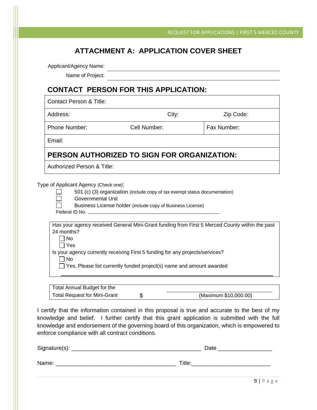## **ATTACHMENT A: APPLICATION COVER SHEET**

Applicant/Agency Name:

Name of Project:

## **CONTACT PERSON FOR THIS APPLICATION:**

| Contact Person & Title:                     |              |             |  |  |  |  |  |
|---------------------------------------------|--------------|-------------|--|--|--|--|--|
| Address:                                    | City:        | Zip Code:   |  |  |  |  |  |
| <b>Phone Number:</b>                        | Cell Number: | Fax Number: |  |  |  |  |  |
| Email:                                      |              |             |  |  |  |  |  |
| PERSON AUTHORIZED TO SIGN FOR ORGANIZATION: |              |             |  |  |  |  |  |
| Authorized Person & Title:                  |              |             |  |  |  |  |  |

Type of Applicant Agency (Check one):

| 501 (c) (3) organization (include copy of tax exempt status documentation) |  |
|----------------------------------------------------------------------------|--|
|                                                                            |  |

| Governmental Unit |  |
|-------------------|--|
|-------------------|--|

| Business License holder (include copy of Business License) |  |  |
|------------------------------------------------------------|--|--|
|                                                            |  |  |

Federal ID No.

| Has your agency received General Mini-Grant funding from First 5 Merced County within the past |  |
|------------------------------------------------------------------------------------------------|--|
| 24 months?_                                                                                    |  |

 $\Box$  No Yes

Is your agency currently receiving First 5 funding for any projects/services?

 $\Box$  No

 $\Box$  Yes, Please list currently funded project(s) name and amount awarded

| Total Annual Budget for the         |                       |
|-------------------------------------|-----------------------|
| <b>Total Request for Mini-Grant</b> | (Maximum \$10,000.00) |

I certify that the information contained in this proposal is true and accurate to the best of my knowledge and belief. I further certify that this grant application is submitted with the full knowledge and endorsement of the governing board of this organization, which is empowered to enforce compliance with all contract conditions.

| Signature(s): | Date   |
|---------------|--------|
| Name:         | Title: |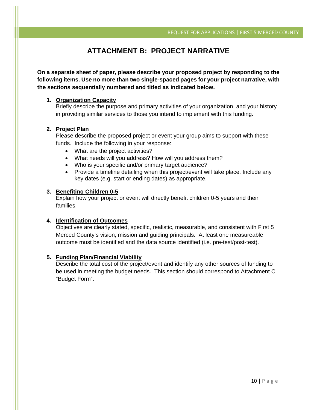# **ATTACHMENT B: PROJECT NARRATIVE**

**On a separate sheet of paper, please describe your proposed project by responding to the following items. Use no more than two single-spaced pages for your project narrative, with the sections sequentially numbered and titled as indicated below.** 

#### **1. Organization Capacity**

Briefly describe the purpose and primary activities of your organization, and your history in providing similar services to those you intend to implement with this funding.

#### **2. Project Plan**

Please describe the proposed project or event your group aims to support with these funds. Include the following in your response:

- What are the project activities?
- What needs will you address? How will you address them?
- Who is your specific and/or primary target audience?
- Provide a timeline detailing when this project/event will take place. Include any key dates (e.g. start or ending dates) as appropriate.

#### **3. Benefiting Children 0-5**

Explain how your project or event will directly benefit children 0-5 years and their families.

#### **4. Identification of Outcomes**

Objectives are clearly stated, specific, realistic, measurable, and consistent with First 5 Merced County's vision, mission and guiding principals. At least one measureable outcome must be identified and the data source identified (i.e. pre-test/post-test).

#### **5. Funding Plan/Financial Viability**

Describe the total cost of the project/event and identify any other sources of funding to be used in meeting the budget needs. This section should correspond to Attachment C "Budget Form".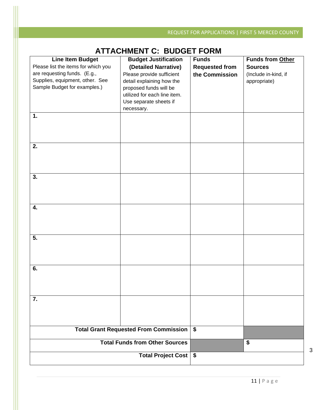# **ATTACHMENT C: BUDGET FORM**

|                                     | AT TAGHINENT C. DUDGET I ONIN              |                       |                      |  |  |  |
|-------------------------------------|--------------------------------------------|-----------------------|----------------------|--|--|--|
| <b>Line Item Budget</b>             | <b>Budget Justification</b>                | <b>Funds</b>          | Funds from Other     |  |  |  |
| Please list the items for which you | (Detailed Narrative)                       | <b>Requested from</b> | <b>Sources</b>       |  |  |  |
| are requesting funds. (E.g.,        | Please provide sufficient                  | the Commission        | (Include in-kind, if |  |  |  |
| Supplies, equipment, other. See     | detail explaining how the                  |                       | appropriate)         |  |  |  |
| Sample Budget for examples.)        | proposed funds will be                     |                       |                      |  |  |  |
|                                     | utilized for each line item.               |                       |                      |  |  |  |
|                                     | Use separate sheets if                     |                       |                      |  |  |  |
|                                     | necessary.                                 |                       |                      |  |  |  |
|                                     |                                            |                       |                      |  |  |  |
| 1.                                  |                                            |                       |                      |  |  |  |
|                                     |                                            |                       |                      |  |  |  |
|                                     |                                            |                       |                      |  |  |  |
|                                     |                                            |                       |                      |  |  |  |
| 2.                                  |                                            |                       |                      |  |  |  |
|                                     |                                            |                       |                      |  |  |  |
|                                     |                                            |                       |                      |  |  |  |
|                                     |                                            |                       |                      |  |  |  |
|                                     |                                            |                       |                      |  |  |  |
| 3.                                  |                                            |                       |                      |  |  |  |
|                                     |                                            |                       |                      |  |  |  |
|                                     |                                            |                       |                      |  |  |  |
|                                     |                                            |                       |                      |  |  |  |
| 4.                                  |                                            |                       |                      |  |  |  |
|                                     |                                            |                       |                      |  |  |  |
|                                     |                                            |                       |                      |  |  |  |
|                                     |                                            |                       |                      |  |  |  |
|                                     |                                            |                       |                      |  |  |  |
| 5.                                  |                                            |                       |                      |  |  |  |
|                                     |                                            |                       |                      |  |  |  |
|                                     |                                            |                       |                      |  |  |  |
|                                     |                                            |                       |                      |  |  |  |
|                                     |                                            |                       |                      |  |  |  |
| 6.                                  |                                            |                       |                      |  |  |  |
|                                     |                                            |                       |                      |  |  |  |
|                                     |                                            |                       |                      |  |  |  |
|                                     |                                            |                       |                      |  |  |  |
| 7.                                  |                                            |                       |                      |  |  |  |
|                                     |                                            |                       |                      |  |  |  |
|                                     |                                            |                       |                      |  |  |  |
|                                     |                                            |                       |                      |  |  |  |
|                                     |                                            |                       |                      |  |  |  |
|                                     | Total Grant Requested From Commission   \$ |                       |                      |  |  |  |
|                                     |                                            |                       |                      |  |  |  |
|                                     | <b>Total Funds from Other Sources</b>      |                       | \$                   |  |  |  |
|                                     |                                            |                       |                      |  |  |  |
|                                     | Total Project Cost   \$                    |                       |                      |  |  |  |
|                                     |                                            |                       |                      |  |  |  |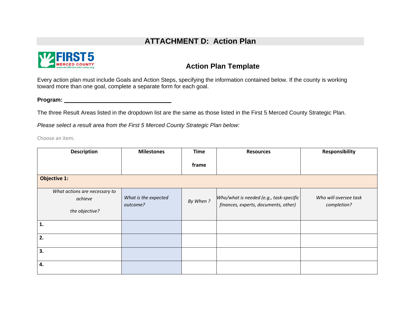# **ATTACHMENT D: Action Plan**



## **Action Plan Template**

Every action plan must include Goals and Action Steps, specifying the information contained below. If the county is working toward more than one goal, complete a separate form for each goal.

**Program:** \_\_\_\_\_\_\_\_\_\_\_\_\_\_\_\_\_\_\_\_\_\_\_\_\_\_\_\_\_\_\_

The three Result Areas listed in the dropdown list are the same as those listed in the First 5 Merced County Strategic Plan.

*Please select a result area from the First 5 Merced County Strategic Plan below:* 

Choose an item.

| <b>Description</b>                                         | <b>Milestones</b>                | <b>Time</b> | <b>Resources</b>                                                                | Responsibility                       |
|------------------------------------------------------------|----------------------------------|-------------|---------------------------------------------------------------------------------|--------------------------------------|
|                                                            |                                  | frame       |                                                                                 |                                      |
| <b>Objective 1:</b>                                        |                                  |             |                                                                                 |                                      |
| What actions are necessary to<br>achieve<br>the objective? | What is the expected<br>outcome? | By When?    | Who/what is needed (e.g., task-specific<br>finances, experts, documents, other) | Who will oversee task<br>completion? |
| $\mathbf{1}$ .                                             |                                  |             |                                                                                 |                                      |
| 2.                                                         |                                  |             |                                                                                 |                                      |
| 3.                                                         |                                  |             |                                                                                 |                                      |
| 4.                                                         |                                  |             |                                                                                 |                                      |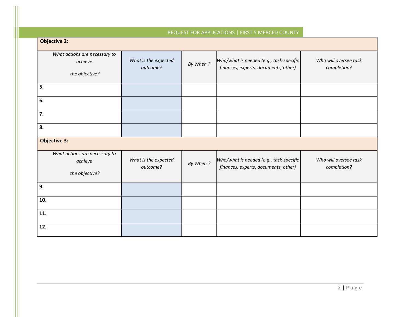### REQUEST FOR APPLICATIONS | FIRST 5 MERCED COUNTY

| <b>Objective 2:</b>                                        |                                  |          |                                                                                 |                                      |  |
|------------------------------------------------------------|----------------------------------|----------|---------------------------------------------------------------------------------|--------------------------------------|--|
| What actions are necessary to<br>achieve<br>the objective? | What is the expected<br>outcome? | By When? | Who/what is needed (e.g., task-specific<br>finances, experts, documents, other) | Who will oversee task<br>completion? |  |
| 5.                                                         |                                  |          |                                                                                 |                                      |  |
| 6.                                                         |                                  |          |                                                                                 |                                      |  |
| 7.                                                         |                                  |          |                                                                                 |                                      |  |
| 8.                                                         |                                  |          |                                                                                 |                                      |  |
| <b>Objective 3:</b>                                        |                                  |          |                                                                                 |                                      |  |
| What actions are necessary to<br>achieve<br>the objective? | What is the expected<br>outcome? | By When? | Who/what is needed (e.g., task-specific<br>finances, experts, documents, other) | Who will oversee task<br>completion? |  |
| 9.                                                         |                                  |          |                                                                                 |                                      |  |
| 10.                                                        |                                  |          |                                                                                 |                                      |  |
| 11.                                                        |                                  |          |                                                                                 |                                      |  |
| 12.                                                        |                                  |          |                                                                                 |                                      |  |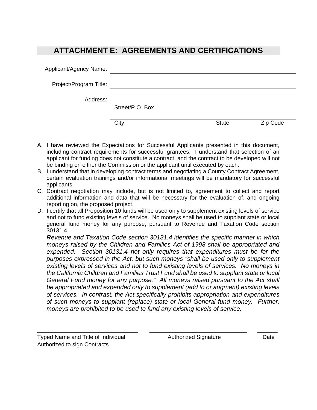# **ATTACHMENT E: AGREEMENTS AND CERTIFICATIONS**

| Applicant/Agency Name: |                 |              |          |
|------------------------|-----------------|--------------|----------|
| Project/Program Title: |                 |              |          |
| Address:               |                 |              |          |
|                        | Street/P.O. Box |              |          |
|                        | City            | <b>State</b> | Zip Code |

- A. I have reviewed the Expectations for Successful Applicants presented in this document, including contract requirements for successful grantees. I understand that selection of an applicant for funding does not constitute a contract, and the contract to be developed will not be binding on either the Commission or the applicant until executed by each.
- B. I understand that in developing contract terms and negotiating a County Contract Agreement, certain evaluation trainings and/or informational meetings will be mandatory for successful applicants.
- C. Contract negotiation may include, but is not limited to, agreement to collect and report additional information and data that will be necessary for the evaluation of, and ongoing reporting on, the proposed project.
- D. I certify that all Proposition 10 funds will be used only to supplement existing levels of service and not to fund existing levels of service. No moneys shall be used to supplant state or local general fund money for any purpose, pursuant to Revenue and Taxation Code section 30131.4.

*Revenue and Taxation Code section 30131.4 identifies the specific manner in which moneys raised by the Children and Families Act of 1998 shall be appropriated and expended. Section 30131.4 not only requires that expenditures must be for the purposes expressed in the Act, but such moneys "shall be used only to supplement existing levels of services and not to fund existing levels of services. No moneys in the California Children and Families Trust Fund shall be used to supplant state or local General Fund money for any purpose." All moneys raised pursuant to the Act shall be appropriated and expended only to supplement (add to or augment) existing levels of services. In contrast, the Act specifically prohibits appropriation and expenditures of such moneys to supplant (replace) state or local General fund money. Further, moneys are prohibited to be used to fund any existing levels of service.*

\_\_\_\_\_\_\_\_\_\_\_\_\_\_\_\_\_\_\_\_\_\_\_\_\_\_\_\_\_\_\_\_\_\_\_ \_\_\_\_\_\_\_\_\_\_\_\_\_\_\_\_\_\_\_\_\_\_\_\_\_\_\_\_\_\_\_\_\_\_ \_\_\_\_\_\_\_

Typed Name and Title of Individual **Authorized Signature Cate** Date Authorized to sign Contracts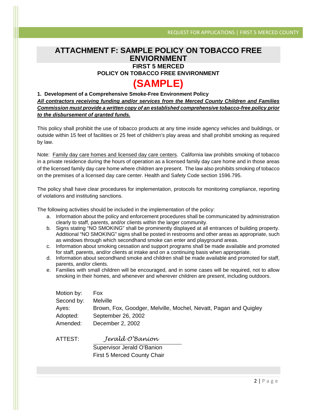### **ATTACHMENT F: SAMPLE POLICY ON TOBACCO FREE ENVIORNMENT FIRST 5 MERCED**

**POLICY ON TOBACCO FREE ENVIRONMENT** 

# **(SAMPLE)**

**1. Development of a Comprehensive Smoke-Free Environment Policy**  *All contractors receiving funding and/or services from the Merced County Children and Families Commission must provide a written copy of an established comprehensive tobacco-free policy prior to the disbursement of granted funds.* 

This policy shall prohibit the use of tobacco products at any time inside agency vehicles and buildings, or outside within 15 feet of facilities or 25 feet of children's play areas and shall prohibit smoking as required by law.

Note: Family day care homes and licensed day care centers. California law prohibits smoking of tobacco in a private residence during the hours of operation as a licensed family day care home and in those areas of the licensed family day care home where children are present. The law also prohibits smoking of tobacco on the premises of a licensed day care center. Health and Safety Code section 1596.795.

The policy shall have clear procedures for implementation, protocols for monitoring compliance, reporting of violations and instituting sanctions.

The following activities should be included in the implementation of the policy:

- a. Information about the policy and enforcement procedures shall be communicated by administration clearly to staff, parents, and/or clients within the larger community.
- b. Signs stating "NO SMOKING" shall be prominently displayed at all entrances of building property. Additional "NO SMOKING" signs shall be posted in restrooms and other areas as appropriate, such as windows through which secondhand smoke can enter and playground areas.
- c. Information about smoking cessation and support programs shall be made available and promoted for staff, parents, and/or clients at intake and on a continuing basis when appropriate.
- d. Information about secondhand smoke and children shall be made available and promoted for staff, parents, and/or clients.
- e. Families with small children will be encouraged, and in some cases will be required, not to allow smoking in their homes, and whenever and wherever children are present, including outdoors.

| Motion by: | <b>Fox</b>                                                       |
|------------|------------------------------------------------------------------|
| Second by: | <b>Melville</b>                                                  |
| Ayes:      | Brown, Fox, Goodger, Melville, Mochel, Nevatt, Pagan and Quigley |
| Adopted:   | September 26, 2002                                               |
| Amended:   | December 2, 2002                                                 |
|            |                                                                  |

ATTEST: *Jerald O'Banion*

Supervisor Jerald O'Banion First 5 Merced County Chair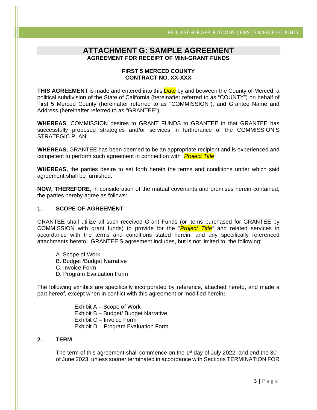# **ATTACHMENT G: SAMPLE AGREEMENT AGREEMENT FOR RECEIPT OF MINI-GRANT FUNDS**

#### **FIRST 5 MERCED COUNTY CONTRACT NO. XX-XXX**

**THIS AGREEMENT** is made and entered into this **Date** by and between the County of Merced, a political subdivision of the State of California (hereinafter referred to as "COUNTY") on behalf of First 5 Merced County (hereinafter referred to as "COMMISSION"), and Grantee Name and Address (hereinafter referred to as "GRANTEE").

**WHEREAS**, COMMISSION desires to GRANT FUNDS to GRANTEE in that GRANTEE has successfully proposed strategies and/or services in furtherance of the COMMISSION'S STRATEGIC PLAN.

**WHEREAS,** GRANTEE has been deemed to be an appropriate recipient and is experienced and competent to perform such agreement in connection with *"Project Title"*

**WHEREAS,** the parties desire to set forth herein the terms and conditions under which said agreement shall be furnished.

**NOW, THEREFORE**, in consideration of the mutual covenants and promises herein contained, the parties hereby agree as follows:

#### **1. SCOPE OF AGREEMENT**

GRANTEE shall utilize all such received Grant Funds (or items purchased for GRANTEE by COMMISSION with grant funds) to provide for the "*Project Title"* and related services in accordance with the terms and conditions stated herein, and any specifically referenced attachments hereto. GRANTEE'S agreement includes, but is not limited to, the following:

- A. Scope of Work
- B. Budget /Budget Narrative
- C. Invoice Form
- D. Program Evaluation Form

The following exhibits are specifically incorporated by reference, attached hereto, and made a part hereof, except when in conflict with this agreement or modified herein**:** 

> Exhibit A – Scope of Work Exhibit B – Budget/ Budget Narrative Exhibit C – Invoice Form Exhibit D – Program Evaluation Form

#### **2. TERM**

The term of this agreement shall commence on the  $1<sup>st</sup>$  day of July 2022, and end the  $30<sup>th</sup>$ of June 2023, unless sooner terminated in accordance with Sections TERMINATION FOR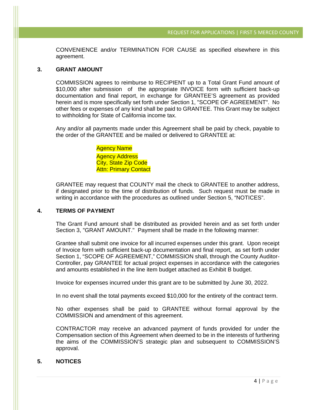CONVENIENCE and/or TERMINATION FOR CAUSE as specified elsewhere in this agreement.

#### **3. GRANT AMOUNT**

COMMISSION agrees to reimburse to RECIPIENT up to a Total Grant Fund amount of \$10,000 after submission of the appropriate INVOICE form with sufficient back-up documentation and final report, in exchange for GRANTEE'S agreement as provided herein and is more specifically set forth under Section 1, "SCOPE OF AGREEMENT". No other fees or expenses of any kind shall be paid to GRANTEE. This Grant may be subject to withholding for State of California income tax.

Any and/or all payments made under this Agreement shall be paid by check, payable to the order of the GRANTEE and be mailed or delivered to GRANTEE at:

> Agency Name Agency Address City, State Zip Code **Attn: Primary Contact**

GRANTEE may request that COUNTY mail the check to GRANTEE to another address, if designated prior to the time of distribution of funds. Such request must be made in writing in accordance with the procedures as outlined under Section 5, "NOTICES".

#### **4. TERMS OF PAYMENT**

The Grant Fund amount shall be distributed as provided herein and as set forth under Section 3, "GRANT AMOUNT." Payment shall be made in the following manner:

Grantee shall submit one invoice for all incurred expenses under this grant. Upon receipt of Invoice form with sufficient back-up documentation and final report, as set forth under Section 1, "SCOPE OF AGREEMENT," COMMISSION shall, through the County Auditor-Controller, pay GRANTEE for actual project expenses in accordance with the categories and amounts established in the line item budget attached as Exhibit B budget.

Invoice for expenses incurred under this grant are to be submitted by June 30, 2022.

In no event shall the total payments exceed \$10,000 for the entirety of the contract term.

No other expenses shall be paid to GRANTEE without formal approval by the COMMISSION and amendment of this agreement.

CONTRACTOR may receive an advanced payment of funds provided for under the Compensation section of this Agreement when deemed to be in the interests of furthering the aims of the COMMISSION'S strategic plan and subsequent to COMMISSION'S approval.

#### **5. NOTICES**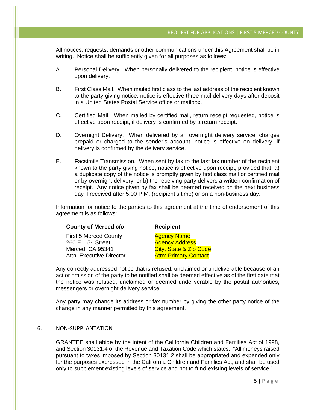All notices, requests, demands or other communications under this Agreement shall be in writing. Notice shall be sufficiently given for all purposes as follows:

- A. Personal Delivery. When personally delivered to the recipient, notice is effective upon delivery.
- B. First Class Mail. When mailed first class to the last address of the recipient known to the party giving notice, notice is effective three mail delivery days after deposit in a United States Postal Service office or mailbox.
- C. Certified Mail. When mailed by certified mail, return receipt requested, notice is effective upon receipt, if delivery is confirmed by a return receipt.
- D. Overnight Delivery. When delivered by an overnight delivery service, charges prepaid or charged to the sender's account, notice is effective on delivery, if delivery is confirmed by the delivery service.
- E. Facsimile Transmission. When sent by fax to the last fax number of the recipient known to the party giving notice, notice is effective upon receipt, provided that: a) a duplicate copy of the notice is promptly given by first class mail or certified mail or by overnight delivery, or b) the receiving party delivers a written confirmation of receipt. Any notice given by fax shall be deemed received on the next business day if received after 5:00 P.M. (recipient's time) or on a non-business day.

Information for notice to the parties to this agreement at the time of endorsement of this agreement is as follows:

#### **County of Merced c/o** Recipient-

First 5 Merced County **Agency Name** 260 E. 15<sup>th</sup> Street Agency Address Merced, CA 95341 City, State & Zip Code Attn: Executive Director **Attn: Primary Contact** 

Any correctly addressed notice that is refused, unclaimed or undeliverable because of an act or omission of the party to be notified shall be deemed effective as of the first date that the notice was refused, unclaimed or deemed undeliverable by the postal authorities, messengers or overnight delivery service.

Any party may change its address or fax number by giving the other party notice of the change in any manner permitted by this agreement.

#### 6. NON‐SUPPLANTATION

GRANTEE shall abide by the intent of the California Children and Families Act of 1998, and Section 30131.4 of the Revenue and Taxation Code which states: "All moneys raised pursuant to taxes imposed by Section 30131.2 shall be appropriated and expended only for the purposes expressed in the California Children and Families Act, and shall be used only to supplement existing levels of service and not to fund existing levels of service."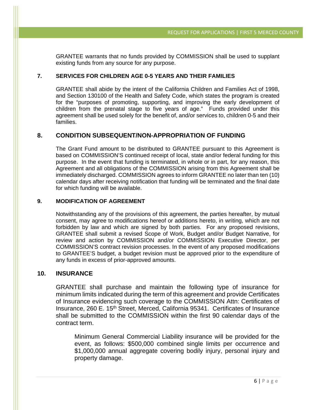GRANTEE warrants that no funds provided by COMMISSION shall be used to supplant existing funds from any source for any purpose.

#### **7. SERVICES FOR CHILDREN AGE 0-5 YEARS AND THEIR FAMILIES**

GRANTEE shall abide by the intent of the California Children and Families Act of 1998, and Section 130100 of the Health and Safety Code, which states the program is created for the "purposes of promoting, supporting, and improving the early development of children from the prenatal stage to five years of age." Funds provided under this agreement shall be used solely for the benefit of, and/or services to, children 0-5 and their families.

#### **8. CONDITION SUBSEQUENT/NON-APPROPRIATION OF FUNDING**

The Grant Fund amount to be distributed to GRANTEE pursuant to this Agreement is based on COMMISSION'S continued receipt of local, state and/or federal funding for this purpose. In the event that funding is terminated, in whole or in part, for any reason, this Agreement and all obligations of the COMMISSION arising from this Agreement shall be immediately discharged. COMMISSION agrees to inform GRANTEE no later than ten (10) calendar days after receiving notification that funding will be terminated and the final date for which funding will be available.

#### **9. MODIFICATION OF AGREEMENT**

Notwithstanding any of the provisions of this agreement, the parties hereafter, by mutual consent, may agree to modifications hereof or additions hereto, in writing, which are not forbidden by law and which are signed by both parties.For any proposed revisions, GRANTEE shall submit a revised Scope of Work, Budget and/or Budget Narrative, for review and action by COMMISSION and/or COMMISSION Executive Director, per COMMISSION'S contract revision processes. In the event of any proposed modifications to GRANTEE'S budget, a budget revision must be approved prior to the expenditure of any funds in excess of prior-approved amounts.

#### **10. INSURANCE**

GRANTEE shall purchase and maintain the following type of insurance for minimum limits indicated during the term of this agreement and provide Certificates of Insurance evidencing such coverage to the COMMISSION Attn: Certificates of Insurance, 260 E. 15<sup>th</sup> Street, Merced, California 95341. Certificates of Insurance shall be submitted to the COMMISSION within the first 90 calendar days of the contract term.

Minimum General Commercial Liability insurance will be provided for the event, as follows: \$500,000 combined single limits per occurrence and \$1,000,000 annual aggregate covering bodily injury, personal injury and property damage.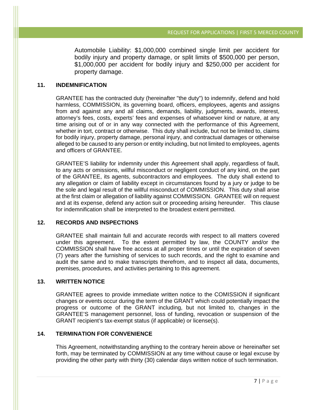Automobile Liability: \$1,000,000 combined single limit per accident for bodily injury and property damage, or split limits of \$500,000 per person, \$1,000,000 per accident for bodily injury and \$250,000 per accident for property damage.

#### **11. INDEMNIFICATION**

GRANTEE has the contracted duty (hereinafter "the duty") to indemnify, defend and hold harmless, COMMISSION, its governing board, officers, employees, agents and assigns from and against any and all claims, demands, liability, judgments, awards, interest, attorney's fees, costs, experts' fees and expenses of whatsoever kind or nature, at any time arising out of or in any way connected with the performance of this Agreement, whether in tort, contract or otherwise. This duty shall include, but not be limited to, claims for bodily injury, property damage, personal injury, and contractual damages or otherwise alleged to be caused to any person or entity including, but not limited to employees, agents and officers of GRANTEE.

GRANTEE'S liability for indemnity under this Agreement shall apply, regardless of fault, to any acts or omissions, willful misconduct or negligent conduct of any kind, on the part of the GRANTEE, its agents, subcontractors and employees. The duty shall extend to any allegation or claim of liability except in circumstances found by a jury or judge to be the sole and legal result of the willful misconduct of COMMISSION. This duty shall arise at the first claim or allegation of liability against COMMISSION. GRANTEE will on request and at its expense, defend any action suit or proceeding arising hereunder. This clause for indemnification shall be interpreted to the broadest extent permitted.

#### **12. RECORDS AND INSPECTIONS**

GRANTEE shall maintain full and accurate records with respect to all matters covered under this agreement. To the extent permitted by law, the COUNTY and/or the COMMISSION shall have free access at all proper times or until the expiration of seven (7) years after the furnishing of services to such records, and the right to examine and audit the same and to make transcripts therefrom, and to inspect all data, documents, premises, procedures, and activities pertaining to this agreement.

#### **13. WRITTEN NOTICE**

GRANTEE agrees to provide immediate written notice to the COMISSION if significant changes or events occur during the term of the GRANT which could potentially impact the progress or outcome of the GRANT including, but not limited to, changes in the GRANTEE'S management personnel, loss of funding, revocation or suspension of the GRANT recipient's tax-exempt status (if applicable) or license(s).

#### **14. TERMINATION FOR CONVENIENCE**

This Agreement, notwithstanding anything to the contrary herein above or hereinafter set forth, may be terminated by COMMISSION at any time without cause or legal excuse by providing the other party with thirty (30) calendar days written notice of such termination.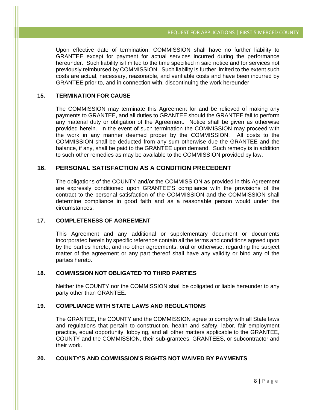Upon effective date of termination, COMMISSION shall have no further liability to GRANTEE except for payment for actual services incurred during the performance hereunder. Such liability is limited to the time specified in said notice and for services not previously reimbursed by COMMISSION. Such liability is further limited to the extent such costs are actual, necessary, reasonable, and verifiable costs and have been incurred by GRANTEE prior to, and in connection with, discontinuing the work hereunder

#### **15. TERMINATION FOR CAUSE**

The COMMISSION may terminate this Agreement for and be relieved of making any payments to GRANTEE, and all duties to GRANTEE should the GRANTEE fail to perform any material duty or obligation of the Agreement. Notice shall be given as otherwise provided herein. In the event of such termination the COMMISSION may proceed with the work in any manner deemed proper by the COMMISSION. All costs to the COMMISSION shall be deducted from any sum otherwise due the GRANTEE and the balance, if any, shall be paid to the GRANTEE upon demand. Such remedy is in addition to such other remedies as may be available to the COMMISSION provided by law.

#### **16. PERSONAL SATISFACTION AS A CONDITION PRECEDENT**

The obligations of the COUNTY and/or the COMMISSION as provided in this Agreement are expressly conditioned upon GRANTEE'S compliance with the provisions of the contract to the personal satisfaction of the COMMISSION and the COMMISSION shall determine compliance in good faith and as a reasonable person would under the circumstances.

#### **17. COMPLETENESS OF AGREEMENT**

This Agreement and any additional or supplementary document or documents incorporated herein by specific reference contain all the terms and conditions agreed upon by the parties hereto, and no other agreements, oral or otherwise, regarding the subject matter of the agreement or any part thereof shall have any validity or bind any of the parties hereto.

#### **18. COMMISSION NOT OBLIGATED TO THIRD PARTIES**

Neither the COUNTY nor the COMMISSION shall be obligated or liable hereunder to any party other than GRANTEE.

#### **19. COMPLIANCE WITH STATE LAWS AND REGULATIONS**

The GRANTEE, the COUNTY and the COMMISSION agree to comply with all State laws and regulations that pertain to construction, health and safety, labor, fair employment practice, equal opportunity, lobbying, and all other matters applicable to the GRANTEE, COUNTY and the COMMISSION, their sub-grantees, GRANTEES, or subcontractor and their work.

#### **20. COUNTY'S AND COMMISSION'S RIGHTS NOT WAIVED BY PAYMENTS**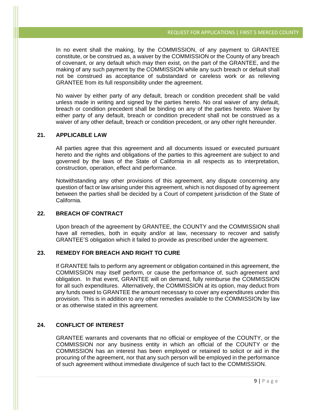In no event shall the making, by the COMMISSION, of any payment to GRANTEE constitute, or be construed as, a waiver by the COMMISSION or the County of any breach of covenant, or any default which may then exist, on the part of the GRANTEE, and the making of any such payment by the COMMISSION while any such breach or default shall not be construed as acceptance of substandard or careless work or as relieving GRANTEE from its full responsibility under the agreement.

No waiver by either party of any default, breach or condition precedent shall be valid unless made in writing and signed by the parties hereto. No oral waiver of any default, breach or condition precedent shall be binding on any of the parties hereto. Waiver by either party of any default, breach or condition precedent shall not be construed as a waiver of any other default, breach or condition precedent, or any other right hereunder.

#### **21. APPLICABLE LAW**

All parties agree that this agreement and all documents issued or executed pursuant hereto and the rights and obligations of the parties to this agreement are subject to and governed by the laws of the State of California in all respects as to interpretation, construction, operation, effect and performance.

Notwithstanding any other provisions of this agreement, any dispute concerning any question of fact or law arising under this agreement, which is not disposed of by agreement between the parties shall be decided by a Court of competent jurisdiction of the State of California.

#### **22. BREACH OF CONTRACT**

Upon breach of the agreement by GRANTEE, the COUNTY and the COMMISSION shall have all remedies, both in equity and/or at law, necessary to recover and satisfy GRANTEE'S obligation which it failed to provide as prescribed under the agreement.

#### **23. REMEDY FOR BREACH AND RIGHT TO CURE**

If GRANTEE fails to perform any agreement or obligation contained in this agreement, the COMMISSION may itself perform, or cause the performance of, such agreement and obligation. In that event, GRANTEE will on demand, fully reimburse the COMMISSION for all such expenditures. Alternatively, the COMMISSION at its option, may deduct from any funds owed to GRANTEE the amount necessary to cover any expenditures under this provision. This is in addition to any other remedies available to the COMMISSION by law or as otherwise stated in this agreement.

#### **24. CONFLICT OF INTEREST**

GRANTEE warrants and covenants that no official or employee of the COUNTY, or the COMMISSION nor any business entity in which an official of the COUNTY or the COMMISSION has an interest has been employed or retained to solicit or aid in the procuring of the agreement, nor that any such person will be employed in the performance of such agreement without immediate divulgence of such fact to the COMMISSION.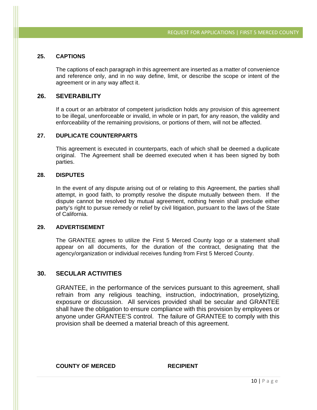#### **25. CAPTIONS**

The captions of each paragraph in this agreement are inserted as a matter of convenience and reference only, and in no way define, limit, or describe the scope or intent of the agreement or in any way affect it.

#### **26. SEVERABILITY**

If a court or an arbitrator of competent jurisdiction holds any provision of this agreement to be illegal, unenforceable or invalid, in whole or in part, for any reason, the validity and enforceability of the remaining provisions, or portions of them, will not be affected.

#### **27. DUPLICATE COUNTERPARTS**

This agreement is executed in counterparts, each of which shall be deemed a duplicate original. The Agreement shall be deemed executed when it has been signed by both parties.

#### **28. DISPUTES**

In the event of any dispute arising out of or relating to this Agreement, the parties shall attempt, in good faith, to promptly resolve the dispute mutually between them. If the dispute cannot be resolved by mutual agreement, nothing herein shall preclude either party's right to pursue remedy or relief by civil litigation, pursuant to the laws of the State of California.

#### **29. ADVERTISEMENT**

The GRANTEE agrees to utilize the First 5 Merced County logo or a statement shall appear on all documents, for the duration of the contract, designating that the agency/organization or individual receives funding from First 5 Merced County.

#### **30. SECULAR ACTIVITIES**

GRANTEE, in the performance of the services pursuant to this agreement, shall refrain from any religious teaching, instruction, indoctrination, proselytizing, exposure or discussion. All services provided shall be secular and GRANTEE shall have the obligation to ensure compliance with this provision by employees or anyone under GRANTEE'S control. The failure of GRANTEE to comply with this provision shall be deemed a material breach of this agreement.

#### **COUNTY OF MERCED RECIPIENT**